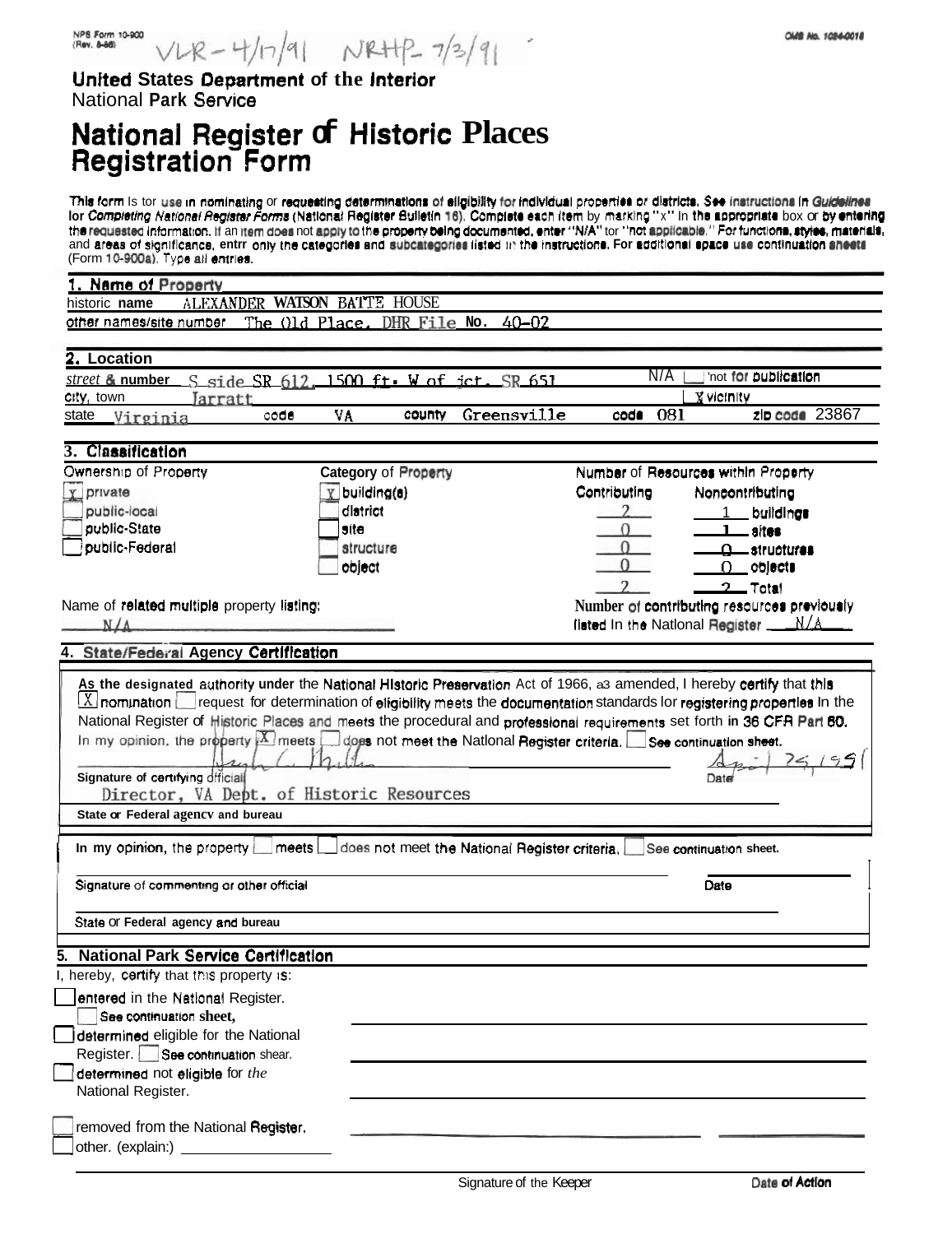United States Department of the Interior National Park Service

# National Register of Historic Places<br>Registration Form

This form is tor use in nominating or requesting determinations of eligibility for individual properties or districts. See instructions in Guidelines International methods of requesting determinations or significy for marking properties or districts. See instructions in determined<br>In Completing National Register Forms (National Register Builetin 16), Complete each item (Form 10-900a). Type all entries.

| Name of Property                                                                                                                                                                                                                                                                                                                                                                                                   |                                               |                            |                                             |
|--------------------------------------------------------------------------------------------------------------------------------------------------------------------------------------------------------------------------------------------------------------------------------------------------------------------------------------------------------------------------------------------------------------------|-----------------------------------------------|----------------------------|---------------------------------------------|
| historic name                                                                                                                                                                                                                                                                                                                                                                                                      | ALEXANDER WATSON BATTE HOUSE                  |                            |                                             |
| other names/site number                                                                                                                                                                                                                                                                                                                                                                                            | The Old Place, DHR File No.                   | $40 - 02$                  |                                             |
|                                                                                                                                                                                                                                                                                                                                                                                                                    |                                               |                            |                                             |
| 2. Location                                                                                                                                                                                                                                                                                                                                                                                                        |                                               |                            |                                             |
| street & number S side SR 612, 1500 ft W of jct. SR 651                                                                                                                                                                                                                                                                                                                                                            |                                               | N/A                        | 'not for publication                        |
| city, town<br><i>arratt</i>                                                                                                                                                                                                                                                                                                                                                                                        |                                               |                            | <b>X</b> victnity                           |
| code<br>state<br>Virginia                                                                                                                                                                                                                                                                                                                                                                                          | VĄ<br>county                                  | Greensville<br>081<br>code | zip code 23867                              |
|                                                                                                                                                                                                                                                                                                                                                                                                                    |                                               |                            |                                             |
| 3. Classification                                                                                                                                                                                                                                                                                                                                                                                                  |                                               |                            |                                             |
| Ownership of Property                                                                                                                                                                                                                                                                                                                                                                                              | <b>Category of Property</b>                   |                            | Number of Resources within Property         |
| private<br>V <sub>1</sub>                                                                                                                                                                                                                                                                                                                                                                                          | building(a)                                   | Contributing               | Noncontributing                             |
| public-local                                                                                                                                                                                                                                                                                                                                                                                                       | district                                      |                            | buildings                                   |
| public-State                                                                                                                                                                                                                                                                                                                                                                                                       | site                                          |                            | —— altes                                    |
| public-Federal                                                                                                                                                                                                                                                                                                                                                                                                     | structure                                     |                            | _structures                                 |
|                                                                                                                                                                                                                                                                                                                                                                                                                    | object                                        |                            | objects<br>0.                               |
|                                                                                                                                                                                                                                                                                                                                                                                                                    |                                               |                            | <u>2 Total</u>                              |
| Name of related multiple property listing:                                                                                                                                                                                                                                                                                                                                                                         |                                               |                            | Number of contributing resources previously |
| $N/\Lambda$                                                                                                                                                                                                                                                                                                                                                                                                        |                                               |                            | listed in the National Register N/A         |
| 4. State/Federal Agency Certification                                                                                                                                                                                                                                                                                                                                                                              |                                               |                            |                                             |
| National Register of Historic Places and meets the procedural and professional requirements set forth in 36 CFR Part 60.<br>In my opinion, the property <b>X</b> meets does not meet the National Register criteria. See continuation sheet.<br>Signature of certifying difficial<br>Director, VA Dept. of Historic Resources<br>State or Federal agency and bureau<br>meets<br>In my opinion, the property $\Box$ | does not meet the National Register criteria. |                            | See continuation sheet.                     |
| Signature of commenting or other official                                                                                                                                                                                                                                                                                                                                                                          |                                               |                            | Date                                        |
| State Or Federal agency and bureau                                                                                                                                                                                                                                                                                                                                                                                 |                                               |                            |                                             |
| 5. National Park Service Certification                                                                                                                                                                                                                                                                                                                                                                             |                                               |                            |                                             |
| I, hereby, certify that this property is:                                                                                                                                                                                                                                                                                                                                                                          |                                               |                            |                                             |
| entered in the National Register.                                                                                                                                                                                                                                                                                                                                                                                  |                                               |                            |                                             |
| See continuation sheet,                                                                                                                                                                                                                                                                                                                                                                                            |                                               |                            |                                             |
| determined eligible for the National                                                                                                                                                                                                                                                                                                                                                                               |                                               |                            |                                             |
| Register. See continuation shear.                                                                                                                                                                                                                                                                                                                                                                                  |                                               |                            |                                             |
| determined not eligible for the                                                                                                                                                                                                                                                                                                                                                                                    |                                               |                            |                                             |
| National Register.                                                                                                                                                                                                                                                                                                                                                                                                 |                                               |                            |                                             |
|                                                                                                                                                                                                                                                                                                                                                                                                                    |                                               |                            |                                             |
| removed from the National Register.                                                                                                                                                                                                                                                                                                                                                                                |                                               |                            |                                             |
| other. (explain:) _                                                                                                                                                                                                                                                                                                                                                                                                |                                               |                            |                                             |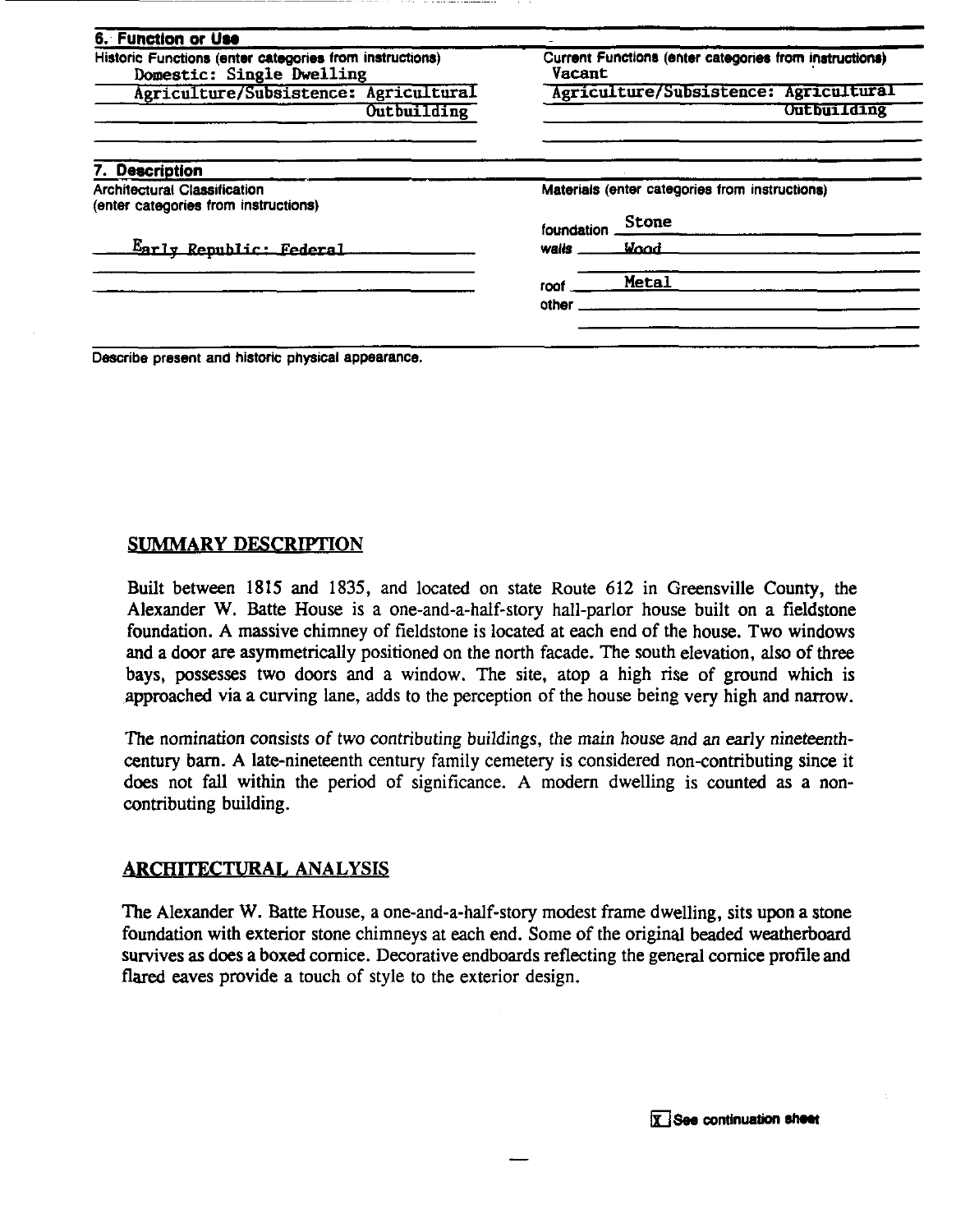| 6. Function or Use                                                                   |                                                                  |                    |  |  |
|--------------------------------------------------------------------------------------|------------------------------------------------------------------|--------------------|--|--|
| Historic Functions (enter categories from instructions)<br>Domestic: Single Dwelling | Current Functions (enter categories from instructions)<br>Vacant |                    |  |  |
| Agriculture/Subsistence: Agricultural                                                | Agriculture/Subsistence: Agricultural                            |                    |  |  |
| Outbuilding                                                                          |                                                                  | <b>Outbuilding</b> |  |  |
| <b>Description</b>                                                                   |                                                                  |                    |  |  |
| <b>Architectural Classification</b>                                                  | Materials (enter categories from instructions)                   |                    |  |  |
| (enter categories from instructions)                                                 | foundation                                                       | Stone              |  |  |
| Early Republic: Federal                                                              | walls                                                            | <b>Vood</b>        |  |  |
|                                                                                      | roof                                                             | Metal              |  |  |
|                                                                                      | other                                                            |                    |  |  |
|                                                                                      |                                                                  |                    |  |  |
|                                                                                      |                                                                  |                    |  |  |

**Describe present and historic physical appearance.** 

#### **SUMMARY DESCRIPTION**

Built between 1815 and 1835, and located on state Route 612 in Greensville County, the Alexander W. Batte House is a one-and-a-half-story hall-parlor house built on a fieldstone foundation. A massive chimney of fieldstone is located at each end of the house. Two windows and a door are asymmetrically positioned on the north facade. The south elevation, also of three bays, possesses two doors and a window. The site, atop a high rise of ground which is approached via a curving lane, adds to the perception of the house being very high and narrow.

The nomination consists of two contributing buildings, the main house and an early nineteenthcentury barn. A late-nineteenth century family cemetery is considered non-contributing since it does not fall within the period of significance. A modern dwelling is counted as a noncontributing building.

#### **ARCHITECTURAL ANALYSIS**

The Alexander W. Batte House, a one-and-a-half-story modest frame dwelling, sits upon a stone foundation with exterior stone chimneys at each end. Some of the original beaded weatherboard survives as does a boxed cornice. Decorative endboards reflecting the general cornice profile and flared eaves provide a touch of style to the exterior design.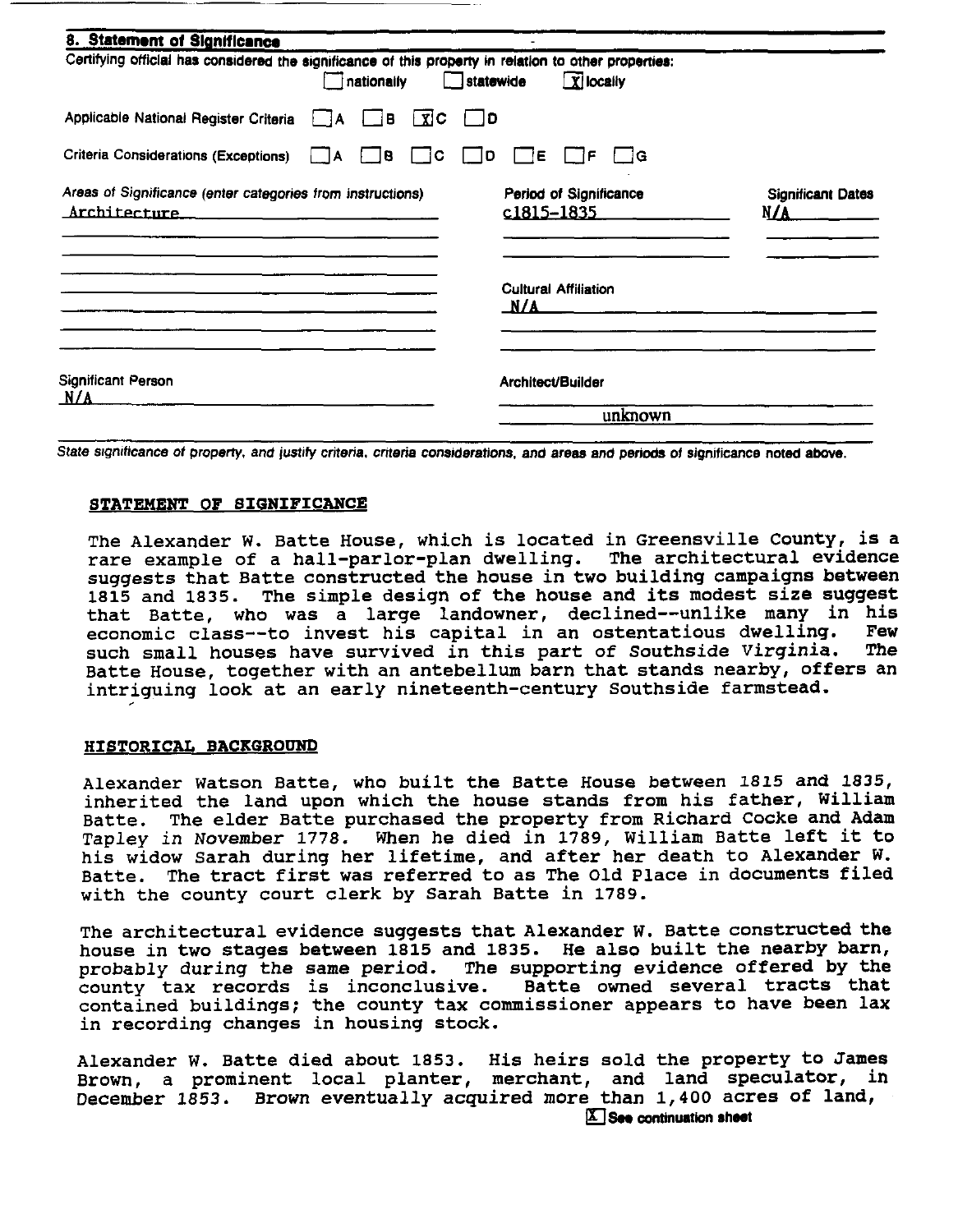| 8. Statement of Significance                                                                          |                     |                     |                  |                   |                                      |                                 |
|-------------------------------------------------------------------------------------------------------|---------------------|---------------------|------------------|-------------------|--------------------------------------|---------------------------------|
| Certifying official has considered the significance of this property in relation to other properties: | nationally          |                     | $\Box$ statewide |                   | $\boxed{\mathbf{X}}$ locally         |                                 |
| Applicable National Register Criteria                                                                 | B<br>$\blacksquare$ | $\lceil x \rceil$ C | $\Box$ D         |                   |                                      |                                 |
| Criteria Considerations (Exceptions)                                                                  | B<br>I IA           | - IC                | □ D              | ĪΕ.               | l iG<br>1F.                          |                                 |
| Areas of Significance (enter categories from instructions)<br>Architecture                            |                     |                     |                  |                   | Period of Significance<br>c1815-1835 | <b>Significant Dates</b><br>N/A |
|                                                                                                       |                     |                     |                  | N/A               | <b>Cultural Affiliation</b>          |                                 |
| Significant Person<br>N/A                                                                             |                     |                     |                  | Architect/Builder |                                      |                                 |
|                                                                                                       |                     |                     |                  |                   | unknown                              |                                 |

State significance of property, and justify criteria, criteria considerations, and areas and periods of significance noted above.

#### STATEMENT OF SIGNIFICANCE

**The Alexander W. Batte House, which is located in Greensville County, is a rare example of a hall-parlor-plan dwelling. The architectural evidence suggests that Batte constructed the house in two building campaigns between 1815 and 1835. The simple design of the house and its modest size suggest that Batte, who was a large landowner, declined--unlike many in his economic class--to invest his capital in an ostentatious dwelling. Few such small houses have survived in this part of Southside Virginia. The Batte House, together with an antebellum barn that stands nearby, offers an intriguing look at an early nineteenth-century Southside farmstead.** ,

#### **HISTORICAL BACKGROUND**

**Alexander Watson Batte, who built the Batte House between 1815 and 1835, inherited the land upon which the house stands from his father, William Batte. The elder Batte purchased the property from Richard Cocke and Adam Tapley in November 1778. When he died in 1789, William Batte left it to his widow Sarah during her lifetime, and after her death to Alexander W. Batte. The tract first was referred to as The Old Place in documents filed with the county court clerk by Sarah Batte in 1789.** 

**The architectural evidence suggests that Alexander W. Batte constructed the house in two stages between 1815 and 1835. He also built the nearby barn, probably during the same period. The supporting evidence offered by the**  county tax records is inconclusive. **contained buildings; the county tax commissioner appears to have been lax in recording changes in housing stock.** 

**Alexander W. Batte died about 1853. His heirs sold the property to James**  Brown, a prominent local planter, merchant, and land speculator, in December 1853. Brown eventually acquired more than 1,400 acres of land,<br>**E** See continuation sheet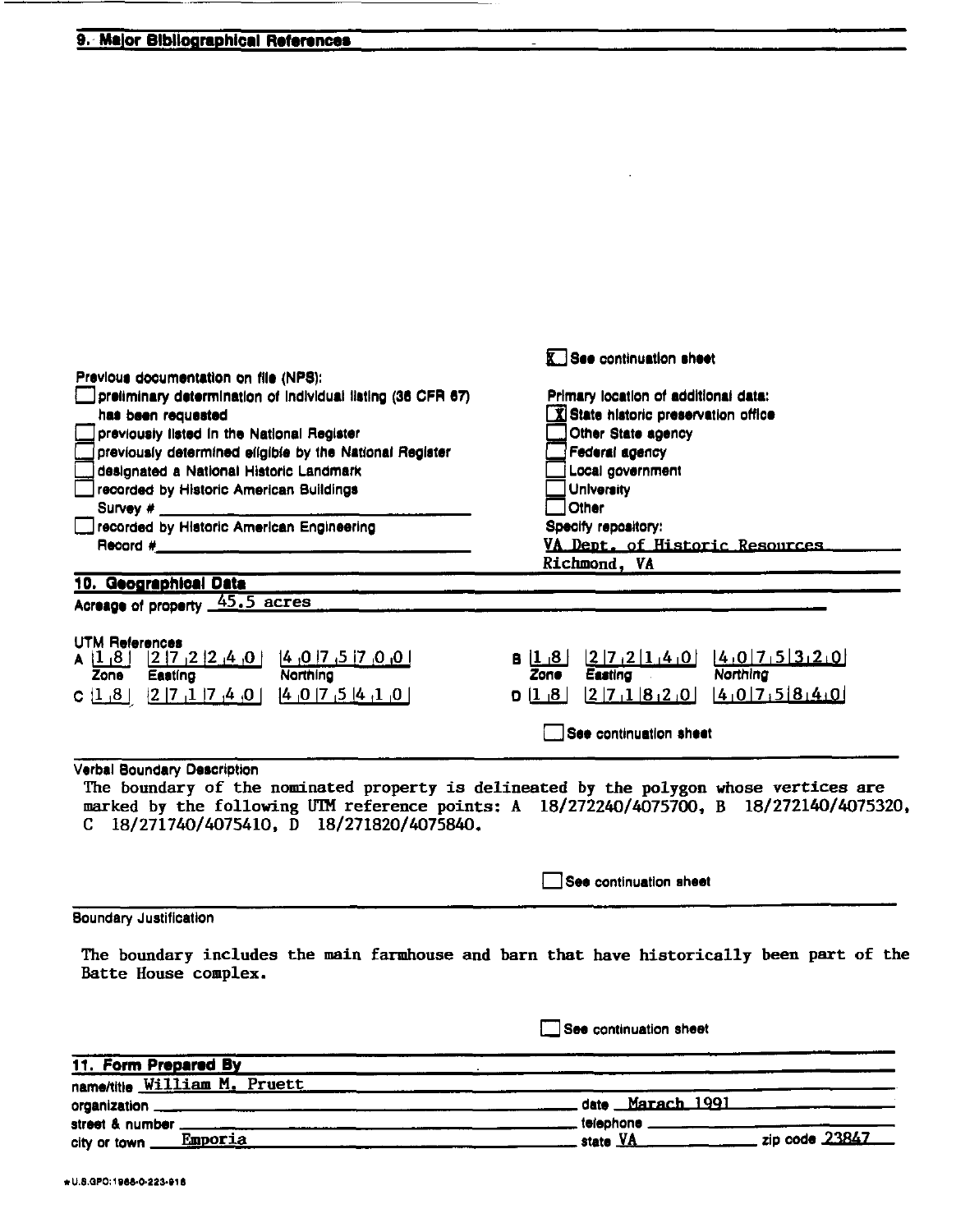### 9. Major Bibliographical References

| Previous documentation on file (NPS):                                                                                                                                                                                                                         | <b>K.</b> See continuation sheet                                             |                |
|---------------------------------------------------------------------------------------------------------------------------------------------------------------------------------------------------------------------------------------------------------------|------------------------------------------------------------------------------|----------------|
| preliminary determination of individual listing (36 CFR 67)                                                                                                                                                                                                   | Primary location of additional data:                                         |                |
| has been requested                                                                                                                                                                                                                                            | X State historic preservation office                                         |                |
| previously listed in the National Register                                                                                                                                                                                                                    | Other State agency                                                           |                |
| previously determined eligible by the National Register                                                                                                                                                                                                       | Federal agency                                                               |                |
| designated a National Historic Landmark                                                                                                                                                                                                                       | Local government                                                             |                |
| recorded by Historic American Buildings                                                                                                                                                                                                                       | <b>University</b><br>Other                                                   |                |
| Survey # $\frac{1}{2}$<br>recorded by Historic American Engineering                                                                                                                                                                                           |                                                                              |                |
| <b>Record #___________________________________</b>                                                                                                                                                                                                            | Specify repository:<br>VA Dept. of Historic Resources.                       |                |
|                                                                                                                                                                                                                                                               | Richmond, VA                                                                 |                |
|                                                                                                                                                                                                                                                               |                                                                              |                |
| 10. Geographical Data                                                                                                                                                                                                                                         |                                                                              |                |
| Acreage of property 45.5 acres                                                                                                                                                                                                                                |                                                                              |                |
| <b>UTM References</b><br>$A$ $[1,8]$ $[2]$ $[7,2]$ $[2,4]$ $[0,4]$ $[3,7]$ $[7,6]$ $[8]$<br>Northing<br><b>Zone</b><br>Easting                                                                                                                                | $[2 7,2 1,4,0]$ $[4,0 7,5 3,2,0]$<br>B(1.8)<br><b>Zone</b><br><b>Easting</b> | Northing       |
| C $[1, 8]$ $[2   7, 1   7, 4, 0]$ $[4, 0   7, 5   4, 1, 0]$                                                                                                                                                                                                   | $[2 7 1 8 2]0$ $[4 0 7 5 8 4]0$<br>  8 <sub>ا</sub> 1ا ס                     |                |
|                                                                                                                                                                                                                                                               |                                                                              |                |
|                                                                                                                                                                                                                                                               | See continuation sheet                                                       |                |
| Verbal Boundary Description<br>The boundary of the nominated property is delineated by the polygon whose vertices are<br>marked by the following UTM reference points: A 18/272240/4075700, B 18/272140/4075320,<br>C 18/271740/4075410, D 18/271820/4075840. |                                                                              |                |
|                                                                                                                                                                                                                                                               | See continuation sheet                                                       |                |
| <b>Boundary Justification</b>                                                                                                                                                                                                                                 |                                                                              |                |
| The boundary includes the main farmhouse and barn that have historically been part of the<br>Batte House complex.                                                                                                                                             |                                                                              |                |
|                                                                                                                                                                                                                                                               | See continuation sheet                                                       |                |
| 11. Form Prepared By                                                                                                                                                                                                                                          |                                                                              |                |
| name/title William M. Pruett                                                                                                                                                                                                                                  |                                                                              |                |
| organization ____                                                                                                                                                                                                                                             | date Marach 1991                                                             |                |
| street & number                                                                                                                                                                                                                                               | telephone ______                                                             |                |
| Emporia<br>city or town _                                                                                                                                                                                                                                     | state VA                                                                     | zip code 23847 |

 $\mathcal{L}^{\mathcal{L}}$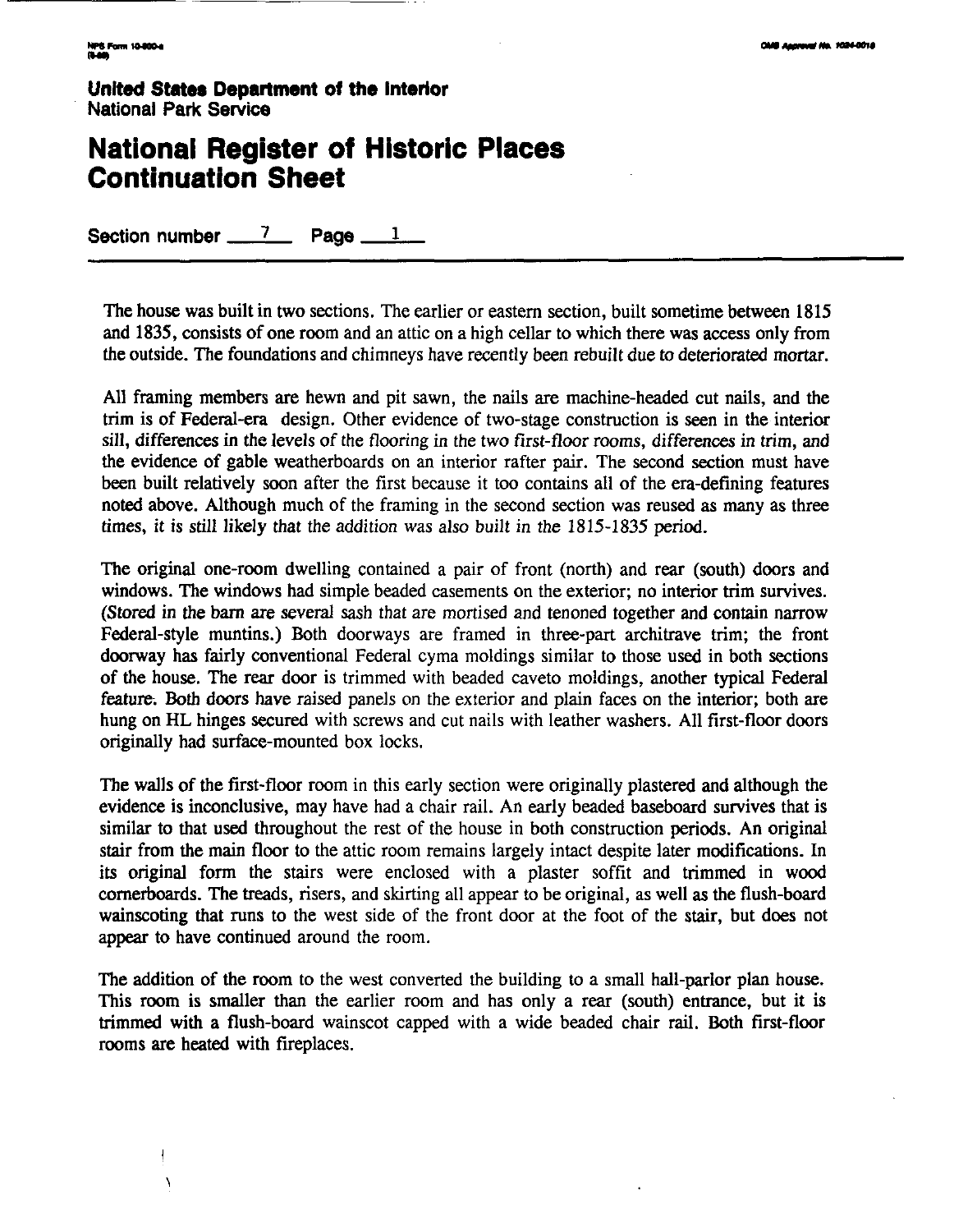Ñ

**United State8 Department of the Interlor National Park Service** 

## **National Register of Historic Places Continuation Sheet**

**Section number 7 Page 1** 

The house was built in two sections. The earlier or eastern section, built sometime between 1815 and 1835, consists of one room and an attic on a high cellar to which there was access only from the outside. The foundations and chimneys have recently been rebuilt due to deteriorated mortar.

All framing members are hewn and pit sawn, the nails are machine-headed cut nails, and the trim is of Federal-era design. Other evidence of two-stage construction is seen in the interior sill, differences in the levels of the flooring in the two first-floor rooms, differences in trim, and the evidence of gable weatherboards on an interior rafter pair. The second section must have been built relatively soon after the first because it too contains all of the era-defining features noted above. Although much of the framing in the second section was reused as many as three times, it is still likely that the addition was also built in the 1815-1835 period.

The original one-room dwelling contained a pair of front (north) and rear (south) doors and windows. The windows had simple beaded casements on the exterior; no interior trim survives. (Stored in the barn are several sash that are mortised and tenoned together and contain narrow Federal-style muntins.) Both doorways are framed in three-part architrave trim; the front doorway **has** fairly conventional Federal cyma moldings similar to those used in both sections of the house. The rear door is trimmed with beaded caveto moldings, another typical Federal feature. **Both** doors have raised panels on the exterior and plain faces on the interior; both are hung on HL hinges secured with screws and cut nails with leather washers. All first-floor doors originally had surface-mounted box locks.

The walls of the first-floor room in this early section were originally plastered and although the evidence is inconclusive, may have had a chair rail. An early beaded baseboard survives that is similar to that used throughout the rest of the house in both construction periods. An original stair from the main floor to the attic room remains largely intact despite later modifications. In its original form the stairs were enclosed with a plaster soffit and trimmed in wood comerboards. The treads, risers, and skirting all appear to be original, as well **as** the flush-board wainscoting that runs to the west side of the front door at the foot of the stair, but does not appear to have continued around the room.

The addition of the room to the west converted the building to a small hall-parlor plan house. This room is smaller than the earlier room and has only a rear (south) entrance, but it is trimmed with a flush-board wainscot capped with a wide beaded chair rail. Both first-floor rooms are heated with fireplaces.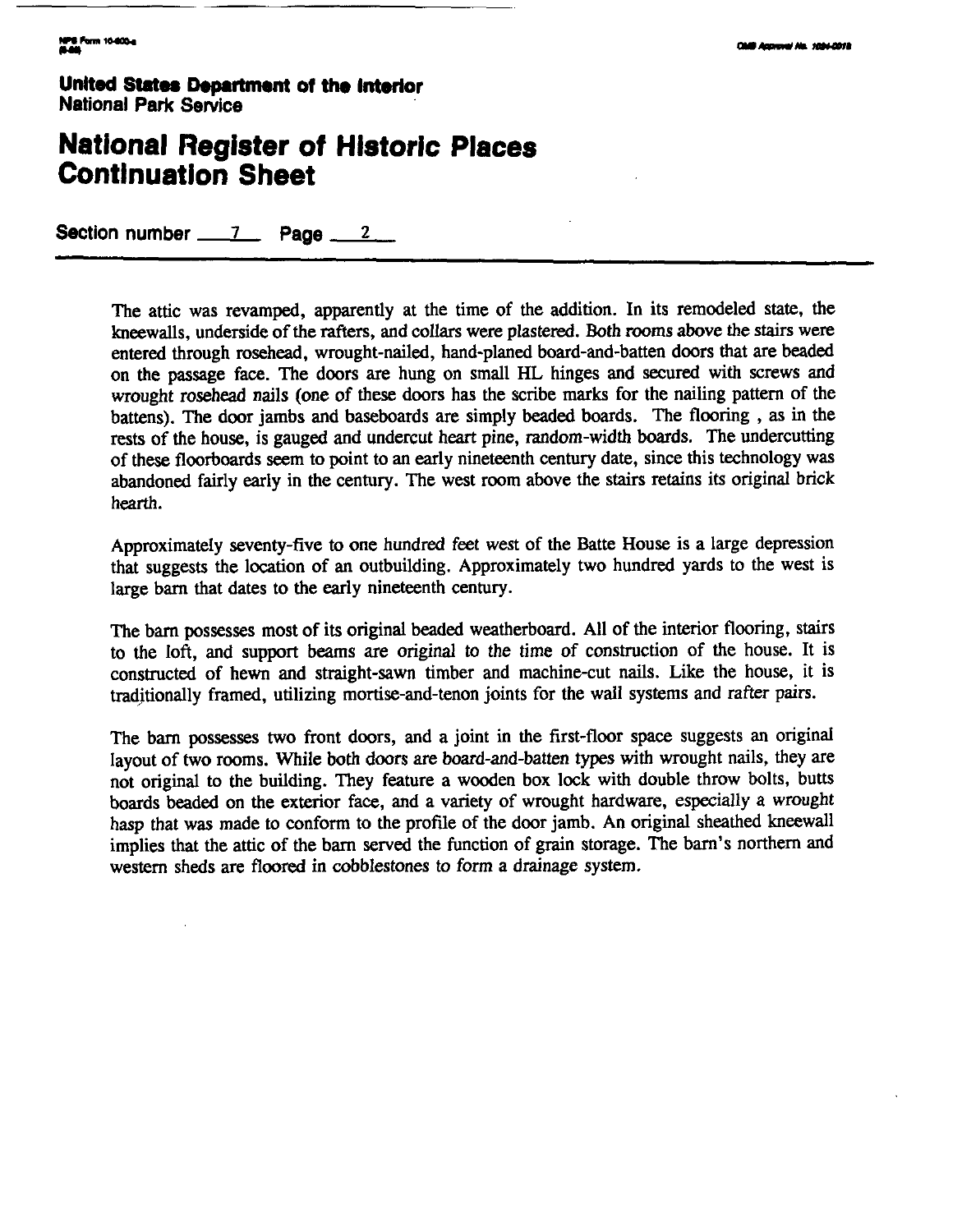**United States Department of the Interior National Park Service** 

## **National Register of Historic Places Continuation Sheet**

**Section number 7 Page <sup>2</sup>**

The attic was revamped, apparently at the time of the addition. In its remodeled state, the kneewalls, underside of the rafters, and collars were plastered. Both rooms above the stairs were entered through rosehead, wrought-nailed, hand-planed board-and-batten doors that are beaded on the passage face. The doors **are** hung on small HL hinges and secured with screws and wrought rosehead nails (one of these doors has the scribe marks for the nailing pattern of the battens). The door jambs and baseboards are simply beaded boards. The flooring, as in the rests of the house, is gauged and undercut heart pine, random-width boards. The undercutting of these floorboards seem to point to an early nineteenth century date, since this technology was abandoned fairly early in the century. The west room above the stairs retains its original brick hearth.

Approximately seventy-five to one hundred feet west of the Batte House is a large depression that suggests the location of an outbuilding. Approximately two hundred yards to the west is large barn that dates to the early nineteenth century.

The barn possesses most of its original beaded weatherboard. All of the interior flooring, stairs to the loft, and support beams are original to the time of construction of the house. It is constructed of hewn and straight-sawn timber and machine-cut nails. Like the house, it is traditionally framed, utilizing mortise-and-tenon joints for the wall systems and rafter pairs.

The barn possesses two front doors, and a joint in the first-floor space suggests an original layout of two rooms. While both doors are board-and-batten types with wrought nails, they are not original to the building. They feature a wooden box lock with double throw bolts, butts boards beaded on the exterior face, and a variety of wrought hardware, especially a wrought hasp that was made to conform to the profile of the door jamb. An original sheathed kneewall implies that the attic of the barn served the function of grain storage. The barn's northern and western sheds are floored in cobblestones to form a drainage system.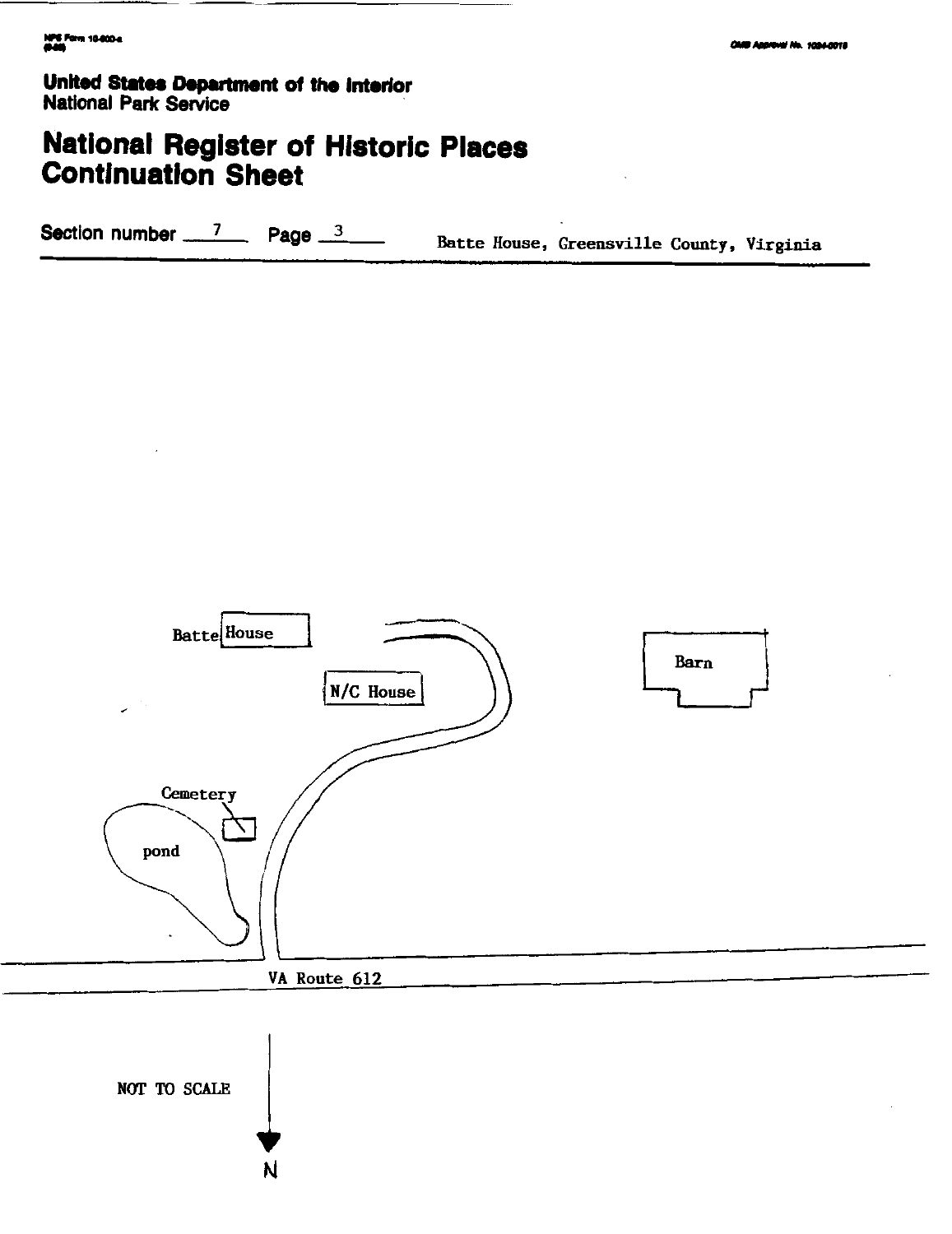United States Department of the Interior **National Park Service** 

## **National Register of Historic Places**<br>Continuation Sheet

Section number  $\frac{7}{2}$  Page  $\frac{3}{2}$ Batte House, Greensville County, Virginia



NOT TO SCALE

N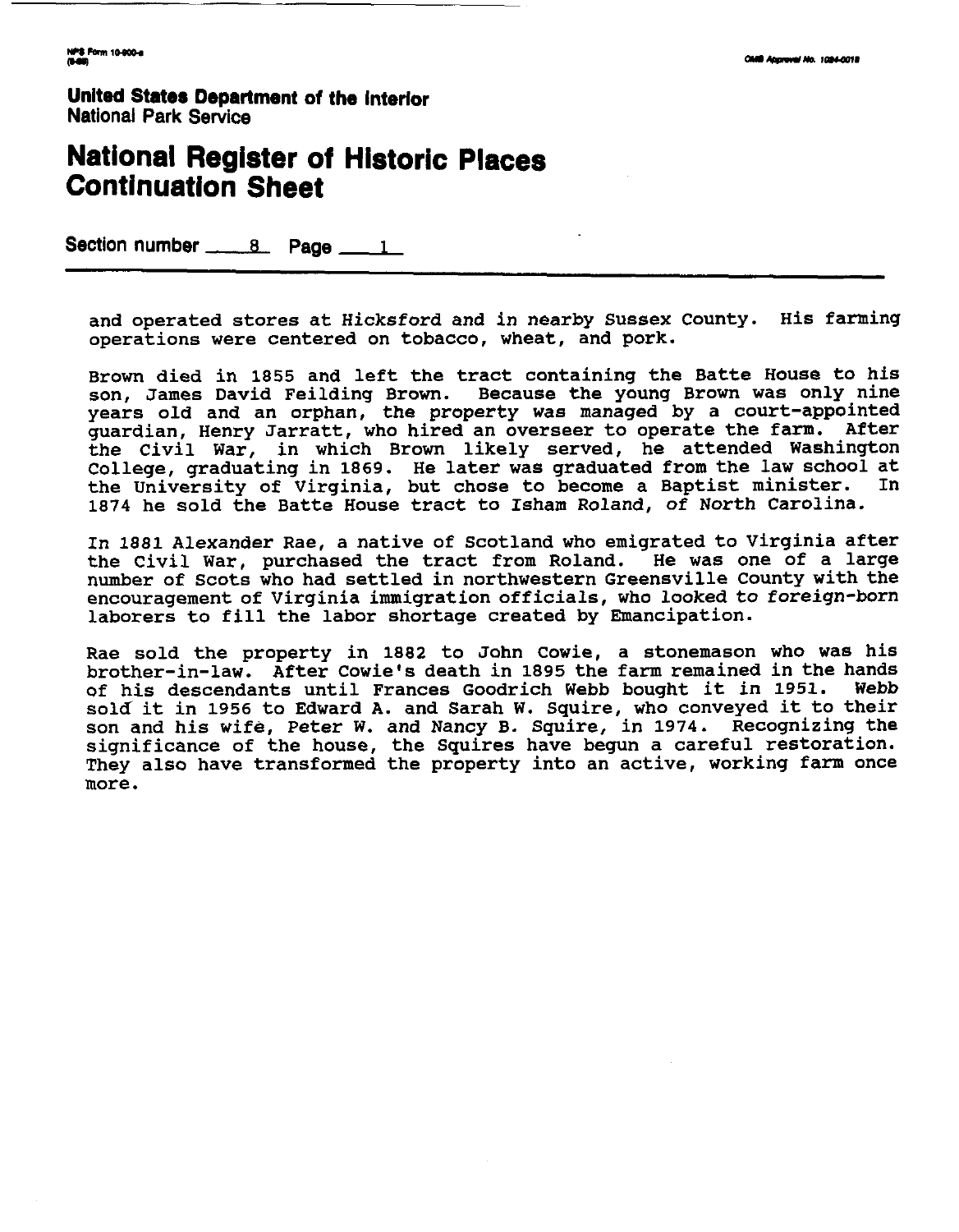**United States Department of the interior National Park Service** 

## **National Register of Historic Places Continuation Sheet**

Section number 8 Page 1

**and operated stores at Hicksford and in nearby Sussex County. His farming operations were centered on tobacco, wheat, and pork.** 

**Brown died in 1855 and left the tract containing the Batte House to his son, James David Feilding Brown. Because the young Brown was only nine years old and an orphan, the property was managed by a court-appointed guardian, Henry Jarratt, who hired an overseer to operate the farm. After the Civil War, in which Brown likely served, he attended Washington College, graduating in 1869. He later was graduated from the law school at the University of Virginia, but chose to become a Baptist minister. In 1874 he sold the Batte House tract to Isham Roland, of North Carolina.** 

**In 1881 Alexander Rae, a native of Scotland who emigrated to Virginia after the Civil War, purchased the tract from Roland. He was one of a large number of Scots who had settled in northwestern Greensville County with the encouragement of Virginia immigration officials, who looked to foreign-born laborers to fill the labor shortage created by Emancipation.** 

**Rae sold the property in 1882 to John Cowie, a stonemason who was his brother-in-law. After Cowie's death in 1895 the farm remained in the hands** of his descendants until Frances Goodrich Webb bought it in 1951. **sold it in 1956 to Edward A. and Sarah W. Squire, who conveyed it to their son and his wife, Peter W. and Nancy B. Squire, in 1974. Recognizing the significance of the house, the Squires have begun a careful restoration. They also have transformed the property into an active, working farm once more.**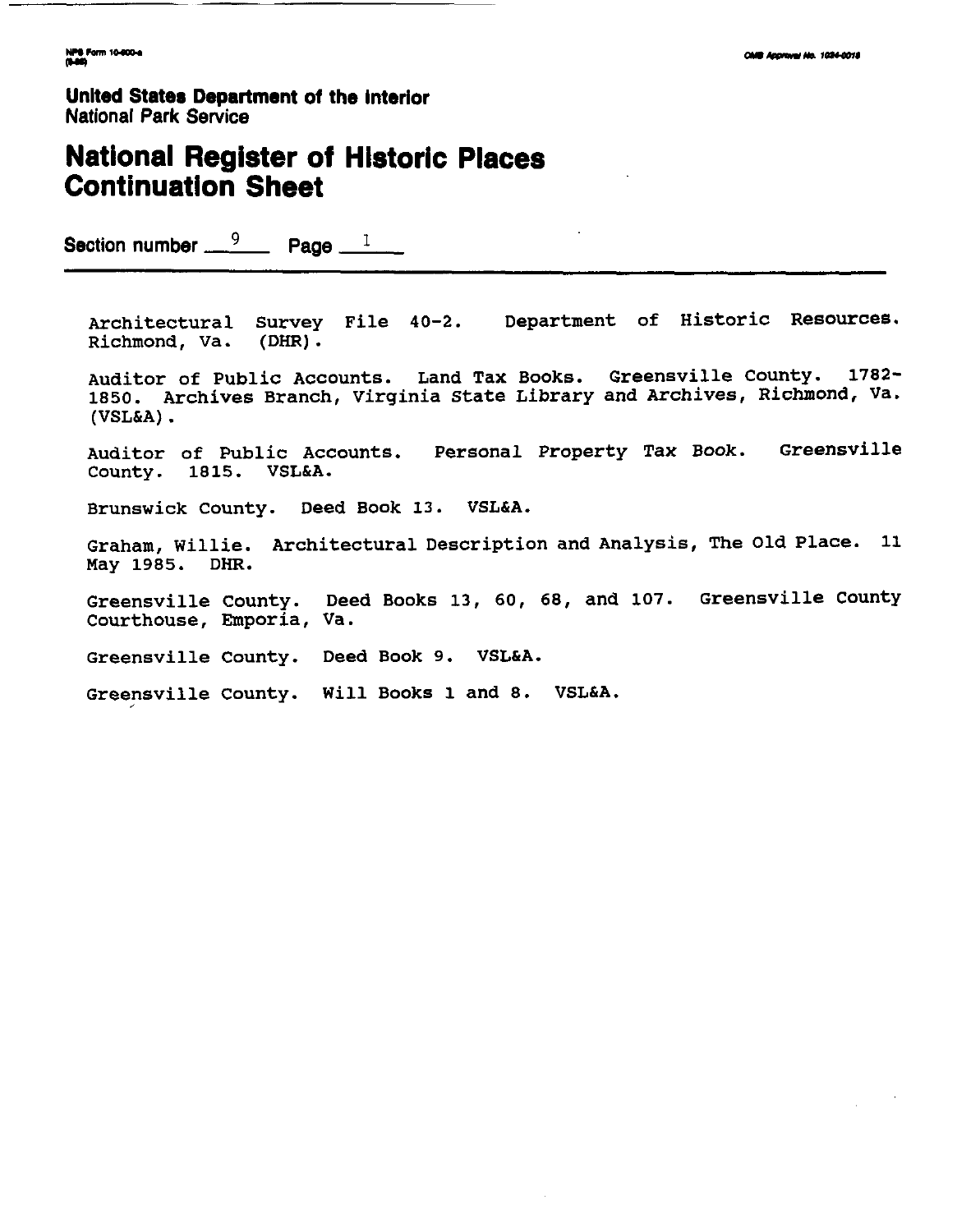**Unlted States Department of the Interior National Park Service** 

## **National Register of Historic Places Continuation Sheet**

**Section number**  $\frac{9}{2}$  **Page 1** 

**Architectural Survey File 40-2. Department of Historic Resources. Richmond, Va** . **(DHR)** .

**Auditor of Public Accounts. Land Tax Books. Greensville County. 1782- 1850. Archives Branch, Virginia State Library and Archives, Richmond, Va. (VSL&A)**.

**Auditor of Public Accounts. Personal Property Tax Book. Greensville County. 1815. VSL&A.** 

**Brunswick County. Deed Book 13. VSL&A.** 

**Graham, Willie. Architectural Description and Analysis, The Old Place. 11 May 1985. DHR.** 

**Greensville County. Deed Books 13, 60, 68, and 107. Greensville County** Courthouse, Emporia, Va.

**Greensville County. Deed Book 9. VSL&A.** 

**Greensville County. Will Books 1 and 8. VSL&A.** nsville County. Will Books 1 and 8. VSL&A.